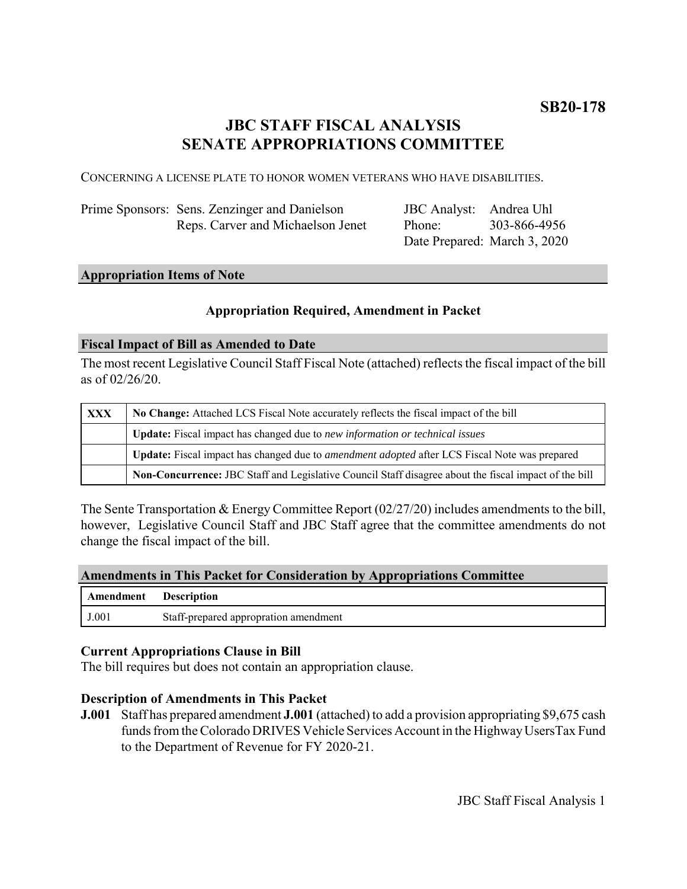# **JBC STAFF FISCAL ANALYSIS SENATE APPROPRIATIONS COMMITTEE**

CONCERNING A LICENSE PLATE TO HONOR WOMEN VETERANS WHO HAVE DISABILITIES.

| Prime Sponsors: Sens. Zenzinger and Danielson | JBC Analyst: Andrea Uhl      |              |
|-----------------------------------------------|------------------------------|--------------|
| Reps. Carver and Michaelson Jenet             | Phone:                       | 303-866-4956 |
|                                               | Date Prepared: March 3, 2020 |              |

## **Appropriation Items of Note**

## **Appropriation Required, Amendment in Packet**

#### **Fiscal Impact of Bill as Amended to Date**

The most recent Legislative Council Staff Fiscal Note (attached) reflects the fiscal impact of the bill as of 02/26/20.

| <b>XXX</b> | No Change: Attached LCS Fiscal Note accurately reflects the fiscal impact of the bill                       |  |
|------------|-------------------------------------------------------------------------------------------------------------|--|
|            | <b>Update:</b> Fiscal impact has changed due to new information or technical issues                         |  |
|            | <b>Update:</b> Fiscal impact has changed due to <i>amendment adopted</i> after LCS Fiscal Note was prepared |  |
|            | Non-Concurrence: JBC Staff and Legislative Council Staff disagree about the fiscal impact of the bill       |  |

The Sente Transportation & Energy Committee Report (02/27/20) includes amendments to the bill, however, Legislative Council Staff and JBC Staff agree that the committee amendments do not change the fiscal impact of the bill.

#### **Amendments in This Packet for Consideration by Appropriations Committee**

| Amendment Description |                                       |
|-----------------------|---------------------------------------|
| J.001                 | Staff-prepared appropration amendment |

#### **Current Appropriations Clause in Bill**

The bill requires but does not contain an appropriation clause.

#### **Description of Amendments in This Packet**

**J.001** Staff has prepared amendment **J.001** (attached) to add a provision appropriating \$9,675 cash funds from the Colorado DRIVES Vehicle Services Account in the Highway UsersTax Fund to the Department of Revenue for FY 2020-21.